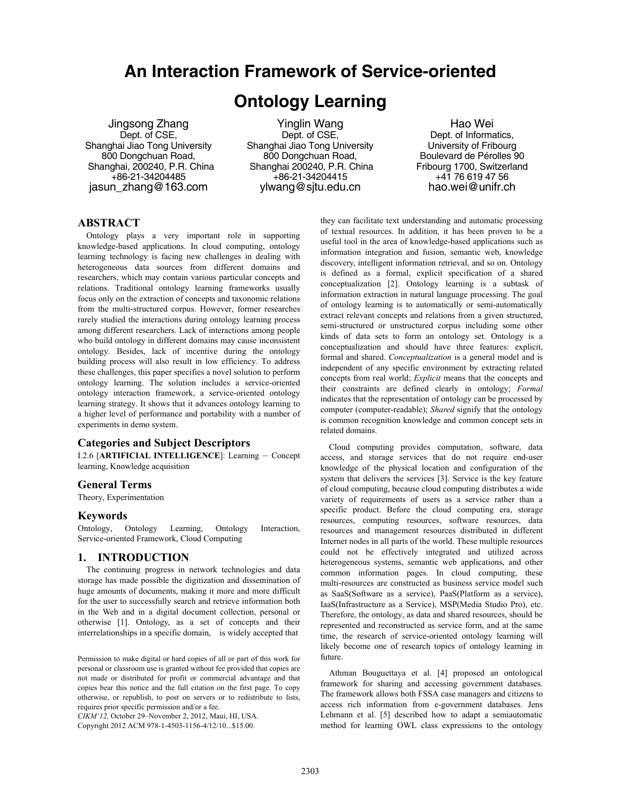# **An Interaction Framework of Service-oriented**

# **Ontology Learning**

Jingsong Zhang Dept. of CSE, Shanghai Jiao Tong University 800 Dongchuan Road, Shanghai, 200240, P.R. China +86-21-34204485 jasun\_zhang@163.com

Yinglin Wang Dept. of CSE, Shanghai Jiao Tong University 800 Dongchuan Road, Shanghai 200240, P.R. China +86-21-34204415 ylwang@sjtu.edu.cn

Hao Wei Dept. of Informatics, University of Fribourg Boulevard de Pérolles 90 Fribourg 1700, Switzerland +41 76 619 47 56 hao.wei@unifr.ch

# **ABSTRACT**

Ontology plays a very important role in supporting knowledge-based applications. In cloud computing, ontology learning technology is facing new challenges in dealing with heterogeneous data sources from different domains and researchers, which may contain various particular concepts and relations. Traditional ontology learning frameworks usually focus only on the extraction of concepts and taxonomic relations from the multi-structured corpus. However, former researches rarely studied the interactions during ontology learning process among different researchers. Lack of interactions among people who build ontology in different domains may cause inconsistent ontology. Besides, lack of incentive during the ontology building process will also result in low efficiency. To address these challenges, this paper specifies a novel solution to perform ontology learning. The solution includes a service-oriented ontology interaction framework, a service-oriented ontology learning strategy. It shows that it advances ontology learning to a higher level of performance and portability with a number of experiments in demo system.

## **Categories and Subject Descriptors**

I.2.6 [**ARTIFICIAL INTELLIGENCE**]: Learning – Concept learning, Knowledge acquisition

## **General Terms**

Theory, Experimentation

#### **Keywords**

Ontology, Ontology Learning, Ontology Interaction, Service-oriented Framework, Cloud Computing

## **1. INTRODUCTION**

The continuing progress in network technologies and data storage has made possible the digitization and dissemination of huge amounts of documents, making it more and more difficult for the user to successfully search and retrieve information both in the Web and in a digital document collection, personal or otherwise [1]. Ontology, as a set of concepts and their interrelationships in a specific domain, is widely accepted that

Permission to make digital or hard copies of all or part of this work for personal or classroom use is granted without fee provided that copies are not made or distributed for profit or commercial advantage and that copies bear this notice and the full citation on the first page. To copy otherwise, or republish, to post on servers or to redistribute to lists, requires prior specific permission and/or a fee.

*CIKM'12,* October 29–November 2, 2012, Maui, HI, USA.

Copyright 2012 ACM 978-1-4503-1156-4/12/10...\$15.00.

they can facilitate text understanding and automatic processing of textual resources. In addition, it has been proven to be a useful tool in the area of knowledge-based applications such as information integration and fusion, semantic web, knowledge discovery, intelligent information retrieval, and so on. Ontology is defined as a formal, explicit specification of a shared conceptualization [2]. Ontology learning is a subtask of information extraction in natural language processing. The goal of ontology learning is to automatically or semi-automatically extract relevant concepts and relations from a given structured, semi-structured or unstructured corpus including some other kinds of data sets to form an ontology set. Ontology is a conceptualization and should have three features: explicit, formal and shared. *Conceptualization* is a general model and is independent of any specific environment by extracting related concepts from real world; *Explicit* means that the concepts and their constraints are defined clearly in ontology; *Formal*  indicates that the representation of ontology can be processed by computer (computer-readable); *Shared* signify that the ontology is common recognition knowledge and common concept sets in related domains.

Cloud computing provides computation, software, data access, and storage services that do not require end-user knowledge of the physical location and configuration of the system that delivers the services [3]. Service is the key feature of cloud computing, because cloud computing distributes a wide variety of requirements of users as a service rather than a specific product. Before the cloud computing era, storage resources, computing resources, software resources, data resources and management resources distributed in different Internet nodes in all parts of the world. These multiple resources could not be effectively integrated and utilized across heterogeneous systems, semantic web applications, and other common information pages. In cloud computing, these multi-resources are constructed as business service model such as SaaS(Software as a service), PaaS(Platform as a service), IaaS(Infrastructure as a Service), MSP(Media Studio Pro), etc. Therefore, the ontology, as data and shared resources, should be represented and reconstructed as service form, and at the same time, the research of service-oriented ontology learning will likely become one of research topics of ontology learning in future.

Athman Bouguettaya et al. [4] proposed an ontological framework for sharing and accessing government databases. The framework allows both FSSA case managers and citizens to access rich information from e-government databases. Jens Lehmann et al. [5] described how to adapt a semiautomatic method for learning OWL class expressions to the ontology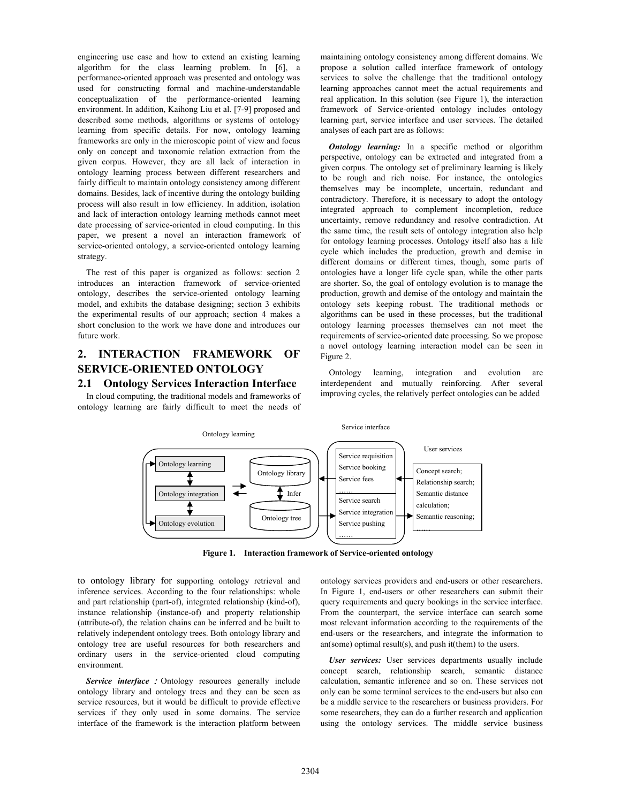engineering use case and how to extend an existing learning algorithm for the class learning problem. In [6], a performance-oriented approach was presented and ontology was used for constructing formal and machine-understandable conceptualization of the performance-oriented learning environment. In addition, Kaihong Liu et al. [7-9] proposed and described some methods, algorithms or systems of ontology learning from specific details. For now, ontology learning frameworks are only in the microscopic point of view and focus only on concept and taxonomic relation extraction from the given corpus. However, they are all lack of interaction in ontology learning process between different researchers and fairly difficult to maintain ontology consistency among different domains. Besides, lack of incentive during the ontology building process will also result in low efficiency. In addition, isolation and lack of interaction ontology learning methods cannot meet date processing of service-oriented in cloud computing. In this paper, we present a novel an interaction framework of service-oriented ontology, a service-oriented ontology learning strategy.

The rest of this paper is organized as follows: section 2 introduces an interaction framework of service-oriented ontology, describes the service-oriented ontology learning model, and exhibits the database designing; section 3 exhibits the experimental results of our approach; section 4 makes a short conclusion to the work we have done and introduces our future work.

# **2. INTERACTION FRAMEWORK OF SERVICE-ORIENTED ONTOLOGY**

#### **2.1 Ontology Services Interaction Interface**

In cloud computing, the traditional models and frameworks of ontology learning are fairly difficult to meet the needs of maintaining ontology consistency among different domains. We propose a solution called interface framework of ontology services to solve the challenge that the traditional ontology learning approaches cannot meet the actual requirements and real application. In this solution (see Figure 1), the interaction framework of Service-oriented ontology includes ontology learning part, service interface and user services. The detailed analyses of each part are as follows:

*Ontology learning:* In a specific method or algorithm perspective, ontology can be extracted and integrated from a given corpus. The ontology set of preliminary learning is likely to be rough and rich noise. For instance, the ontologies themselves may be incomplete, uncertain, redundant and contradictory. Therefore, it is necessary to adopt the ontology integrated approach to complement incompletion, reduce uncertainty, remove redundancy and resolve contradiction. At the same time, the result sets of ontology integration also help for ontology learning processes. Ontology itself also has a life cycle which includes the production, growth and demise in different domains or different times, though, some parts of ontologies have a longer life cycle span, while the other parts are shorter. So, the goal of ontology evolution is to manage the production, growth and demise of the ontology and maintain the ontology sets keeping robust. The traditional methods or algorithms can be used in these processes, but the traditional ontology learning processes themselves can not meet the requirements of service-oriented date processing. So we propose a novel ontology learning interaction model can be seen in Figure 2.

Ontology learning, integration and evolution are interdependent and mutually reinforcing. After several improving cycles, the relatively perfect ontologies can be added



**Figure 1. Interaction framework of Service-oriented ontology**

to ontology library for supporting ontology retrieval and inference services. According to the four relationships: whole and part relationship (part-of), integrated relationship (kind-of), instance relationship (instance-of) and property relationship (attribute-of), the relation chains can be inferred and be built to relatively independent ontology trees. Both ontology library and ontology tree are useful resources for both researchers and ordinary users in the service-oriented cloud computing environment.

**Service interface**: Ontology resources generally include ontology library and ontology trees and they can be seen as service resources, but it would be difficult to provide effective services if they only used in some domains. The service interface of the framework is the interaction platform between

ontology services providers and end-users or other researchers. In Figure 1, end-users or other researchers can submit their query requirements and query bookings in the service interface. From the counterpart, the service interface can search some most relevant information according to the requirements of the end-users or the researchers, and integrate the information to an(some) optimal result(s), and push it(them) to the users.

*User services:* User services departments usually include concept search, relationship search, semantic distance calculation, semantic inference and so on. These services not only can be some terminal services to the end-users but also can be a middle service to the researchers or business providers. For some researchers, they can do a further research and application using the ontology services. The middle service business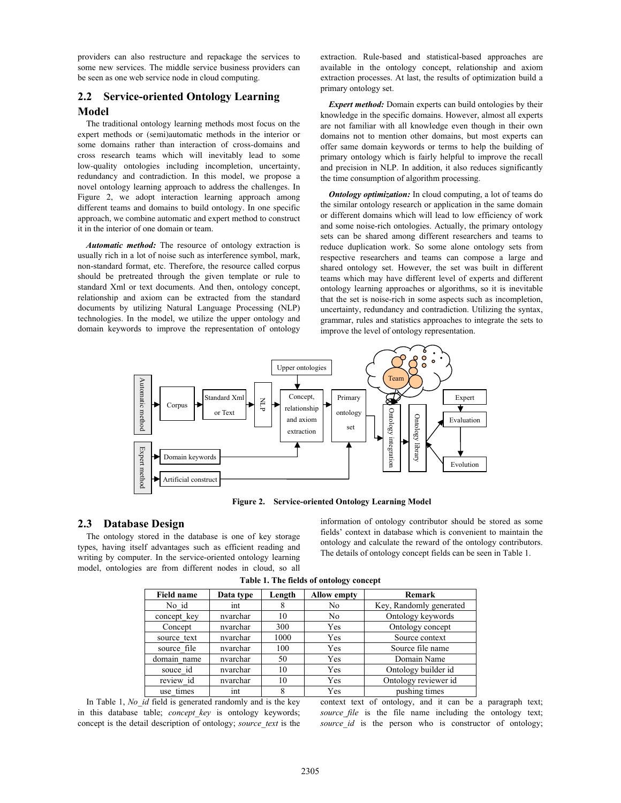providers can also restructure and repackage the services to some new services. The middle service business providers can be seen as one web service node in cloud computing.

## **2.2 Service-oriented Ontology Learning Model**

The traditional ontology learning methods most focus on the expert methods or (semi)automatic methods in the interior or some domains rather than interaction of cross-domains and cross research teams which will inevitably lead to some low-quality ontologies including incompletion, uncertainty, redundancy and contradiction. In this model, we propose a novel ontology learning approach to address the challenges. In Figure 2, we adopt interaction learning approach among different teams and domains to build ontology. In one specific approach, we combine automatic and expert method to construct it in the interior of one domain or team.

*Automatic method:* The resource of ontology extraction is usually rich in a lot of noise such as interference symbol, mark, non-standard format, etc. Therefore, the resource called corpus should be pretreated through the given template or rule to standard Xml or text documents. And then, ontology concept, relationship and axiom can be extracted from the standard documents by utilizing Natural Language Processing (NLP) technologies. In the model, we utilize the upper ontology and domain keywords to improve the representation of ontology

extraction. Rule-based and statistical-based approaches are available in the ontology concept, relationship and axiom extraction processes. At last, the results of optimization build a primary ontology set.

*Expert method:* Domain experts can build ontologies by their knowledge in the specific domains. However, almost all experts are not familiar with all knowledge even though in their own domains not to mention other domains, but most experts can offer same domain keywords or terms to help the building of primary ontology which is fairly helpful to improve the recall and precision in NLP. In addition, it also reduces significantly the time consumption of algorithm processing.

*Ontology optimization:* In cloud computing, a lot of teams do the similar ontology research or application in the same domain or different domains which will lead to low efficiency of work and some noise-rich ontologies. Actually, the primary ontology sets can be shared among different researchers and teams to reduce duplication work. So some alone ontology sets from respective researchers and teams can compose a large and shared ontology set. However, the set was built in different teams which may have different level of experts and different ontology learning approaches or algorithms, so it is inevitable that the set is noise-rich in some aspects such as incompletion, uncertainty, redundancy and contradiction. Utilizing the syntax, grammar, rules and statistics approaches to integrate the sets to improve the level of ontology representation.



**Figure 2. Service-oriented Ontology Learning Model** 

### **2.3 Database Design**

The ontology stored in the database is one of key storage types, having itself advantages such as efficient reading and writing by computer. In the service-oriented ontology learning model, ontologies are from different nodes in cloud, so all information of ontology contributor should be stored as some fields' context in database which is convenient to maintain the ontology and calculate the reward of the ontology contributors. The details of ontology concept fields can be seen in Table 1.

| <b>Field name</b> | Data type | Length | <b>Allow empty</b> | Remark                  |  |
|-------------------|-----------|--------|--------------------|-------------------------|--|
| No id             | int       | 8      | No                 | Key, Randomly generated |  |
| concept key       | nvarchar  | 10     | No                 | Ontology keywords       |  |
| Concept           | nvarchar  | 300    | Yes                | Ontology concept        |  |
| source text       | nvarchar  | 1000   | Yes                | Source context          |  |
| source file       | nvarchar  | 100    | Yes                | Source file name        |  |
| domain name       | nvarchar  | 50     | Yes                | Domain Name             |  |
| souce id          | nvarchar  | 10     | Yes                | Ontology builder id     |  |
| review id         | nvarchar  | 10     | Yes                | Ontology reviewer id    |  |
| use times         | int       | 8      | Yes                | pushing times           |  |

**Table 1. The fields of ontology concept** 

In Table 1, *No* id field is generated randomly and is the key in this database table; *concept key* is ontology keywords; concept is the detail description of ontology; *source\_text* is the

context text of ontology, and it can be a paragraph text; source file is the file name including the ontology text; *source\_id* is the person who is constructor of ontology;